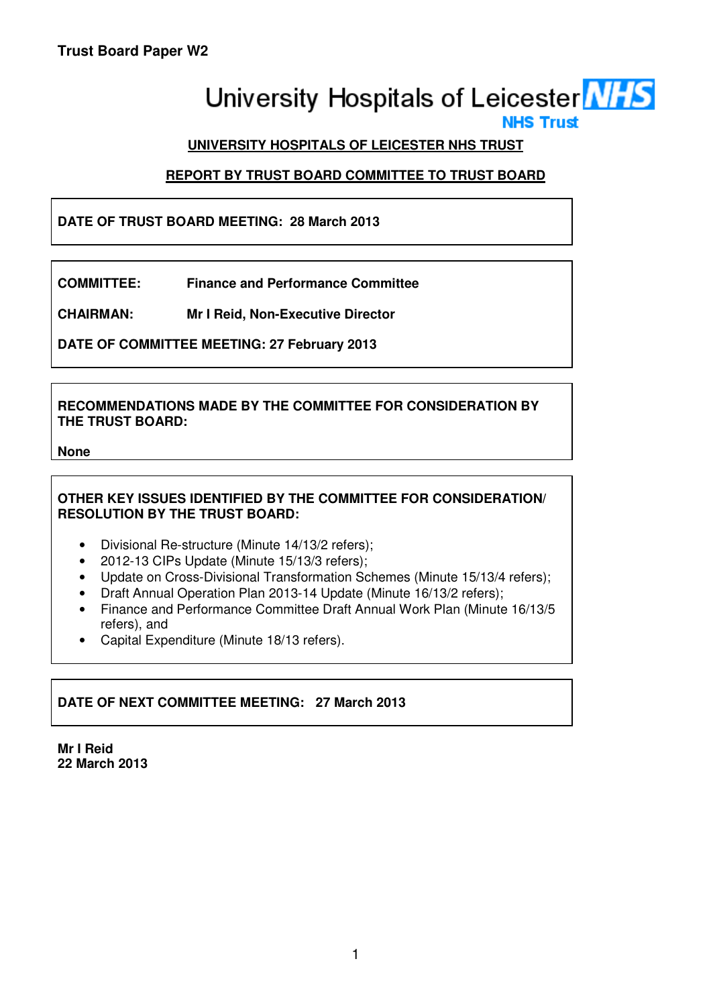# University Hospitals of Leicester NHS

**NHS Trust** 

# **UNIVERSITY HOSPITALS OF LEICESTER NHS TRUST**

# **REPORT BY TRUST BOARD COMMITTEE TO TRUST BOARD**

# **DATE OF TRUST BOARD MEETING: 28 March 2013**

**COMMITTEE: Finance and Performance Committee** 

**CHAIRMAN: Mr I Reid, Non-Executive Director** 

**DATE OF COMMITTEE MEETING: 27 February 2013** 

## **RECOMMENDATIONS MADE BY THE COMMITTEE FOR CONSIDERATION BY THE TRUST BOARD:**

#### **None**

# **OTHER KEY ISSUES IDENTIFIED BY THE COMMITTEE FOR CONSIDERATION/ RESOLUTION BY THE TRUST BOARD:**

- Divisional Re-structure (Minute 14/13/2 refers);
- 2012-13 CIPs Update (Minute 15/13/3 refers);
- Update on Cross-Divisional Transformation Schemes (Minute 15/13/4 refers);
- Draft Annual Operation Plan 2013-14 Update (Minute 16/13/2 refers);
- Finance and Performance Committee Draft Annual Work Plan (Minute 16/13/5 refers), and
- Capital Expenditure (Minute 18/13 refers).

# **DATE OF NEXT COMMITTEE MEETING: 27 March 2013**

**Mr I Reid 22 March 2013**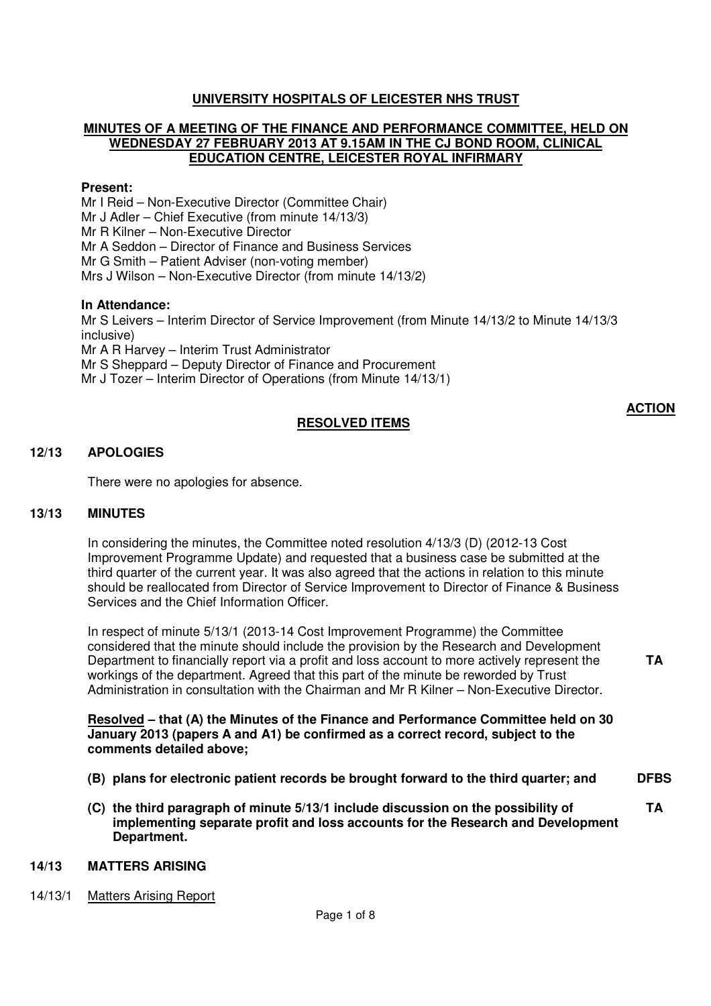## **UNIVERSITY HOSPITALS OF LEICESTER NHS TRUST**

#### **MINUTES OF A MEETING OF THE FINANCE AND PERFORMANCE COMMITTEE, HELD ON WEDNESDAY 27 FEBRUARY 2013 AT 9.15AM IN THE CJ BOND ROOM, CLINICAL EDUCATION CENTRE, LEICESTER ROYAL INFIRMARY**

#### **Present:**

Mr I Reid – Non-Executive Director (Committee Chair) Mr J Adler – Chief Executive (from minute 14/13/3) Mr R Kilner – Non-Executive Director Mr A Seddon – Director of Finance and Business Services Mr G Smith – Patient Adviser (non-voting member) Mrs J Wilson – Non-Executive Director (from minute 14/13/2)

#### **In Attendance:**

Mr S Leivers – Interim Director of Service Improvement (from Minute 14/13/2 to Minute 14/13/3 inclusive) Mr A R Harvey – Interim Trust Administrator Mr S Sheppard – Deputy Director of Finance and Procurement Mr J Tozer – Interim Director of Operations (from Minute 14/13/1)

#### **RESOLVED ITEMS**

**ACTION**

**TA** 

#### **12/13 APOLOGIES**

There were no apologies for absence.

#### **13/13 MINUTES**

In considering the minutes, the Committee noted resolution 4/13/3 (D) (2012-13 Cost Improvement Programme Update) and requested that a business case be submitted at the third quarter of the current year. It was also agreed that the actions in relation to this minute should be reallocated from Director of Service Improvement to Director of Finance & Business Services and the Chief Information Officer.

In respect of minute 5/13/1 (2013-14 Cost Improvement Programme) the Committee considered that the minute should include the provision by the Research and Development Department to financially report via a profit and loss account to more actively represent the workings of the department. Agreed that this part of the minute be reworded by Trust Administration in consultation with the Chairman and Mr R Kilner – Non-Executive Director.

#### **Resolved – that (A) the Minutes of the Finance and Performance Committee held on 30 January 2013 (papers A and A1) be confirmed as a correct record, subject to the comments detailed above;**

- **(B) plans for electronic patient records be brought forward to the third quarter; and DFBS**
- **(C) the third paragraph of minute 5/13/1 include discussion on the possibility of implementing separate profit and loss accounts for the Research and Development Department. TA**

#### **14/13 MATTERS ARISING**

14/13/1 Matters Arising Report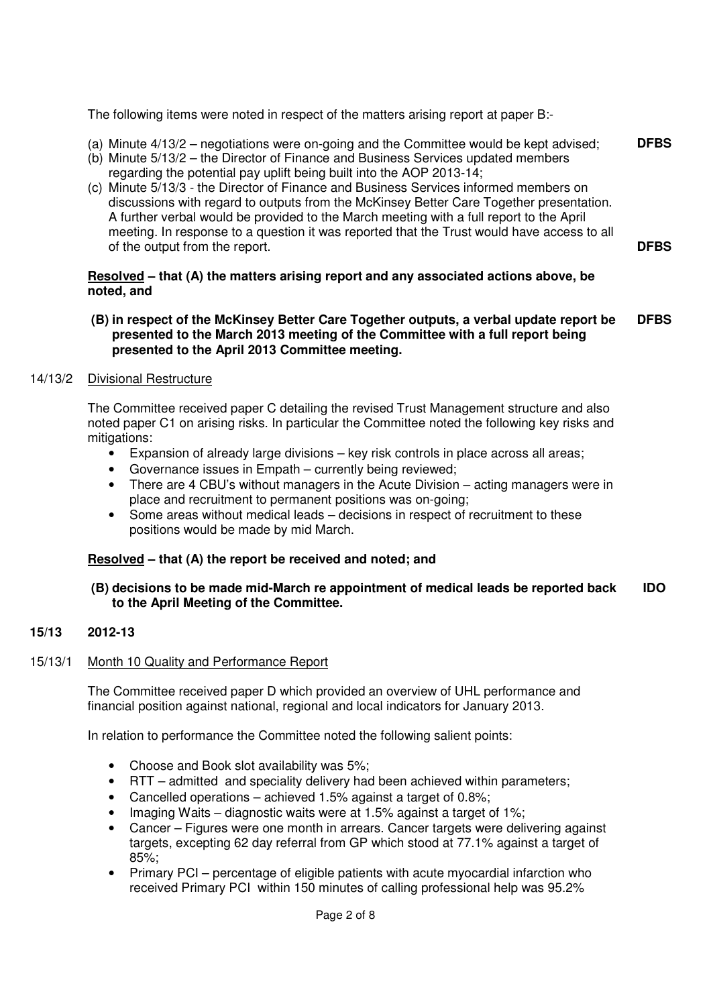The following items were noted in respect of the matters arising report at paper B:-

- (a) Minute 4/13/2 negotiations were on-going and the Committee would be kept advised; **DFBS**
- (b) Minute 5/13/2 the Director of Finance and Business Services updated members regarding the potential pay uplift being built into the AOP 2013-14;
- (c) Minute 5/13/3 the Director of Finance and Business Services informed members on discussions with regard to outputs from the McKinsey Better Care Together presentation. A further verbal would be provided to the March meeting with a full report to the April meeting. In response to a question it was reported that the Trust would have access to all of the output from the report.

#### **Resolved – that (A) the matters arising report and any associated actions above, be noted, and**

**(B) in respect of the McKinsey Better Care Together outputs, a verbal update report be presented to the March 2013 meeting of the Committee with a full report being presented to the April 2013 Committee meeting. DFBS** 

**DFBS** 

## 14/13/2 Divisional Restructure

The Committee received paper C detailing the revised Trust Management structure and also noted paper C1 on arising risks. In particular the Committee noted the following key risks and mitigations:

- Expansion of already large divisions key risk controls in place across all areas;
- Governance issues in Empath currently being reviewed;
- There are 4 CBU's without managers in the Acute Division acting managers were in place and recruitment to permanent positions was on-going:
- Some areas without medical leads decisions in respect of recruitment to these positions would be made by mid March.

# **Resolved – that (A) the report be received and noted; and**

#### **(B) decisions to be made mid-March re appointment of medical leads be reported back to the April Meeting of the Committee. IDO**

#### **15/13 2012-13**

#### 15/13/1 Month 10 Quality and Performance Report

 The Committee received paper D which provided an overview of UHL performance and financial position against national, regional and local indicators for January 2013.

In relation to performance the Committee noted the following salient points:

- Choose and Book slot availability was 5%;
- RTT admitted and speciality delivery had been achieved within parameters;
- Cancelled operations achieved 1.5% against a target of 0.8%;
- Imaging Waits diagnostic waits were at 1.5% against a target of 1%;
- Cancer Figures were one month in arrears. Cancer targets were delivering against targets, excepting 62 day referral from GP which stood at 77.1% against a target of 85%;
- Primary PCI percentage of eligible patients with acute myocardial infarction who received Primary PCI within 150 minutes of calling professional help was 95.2%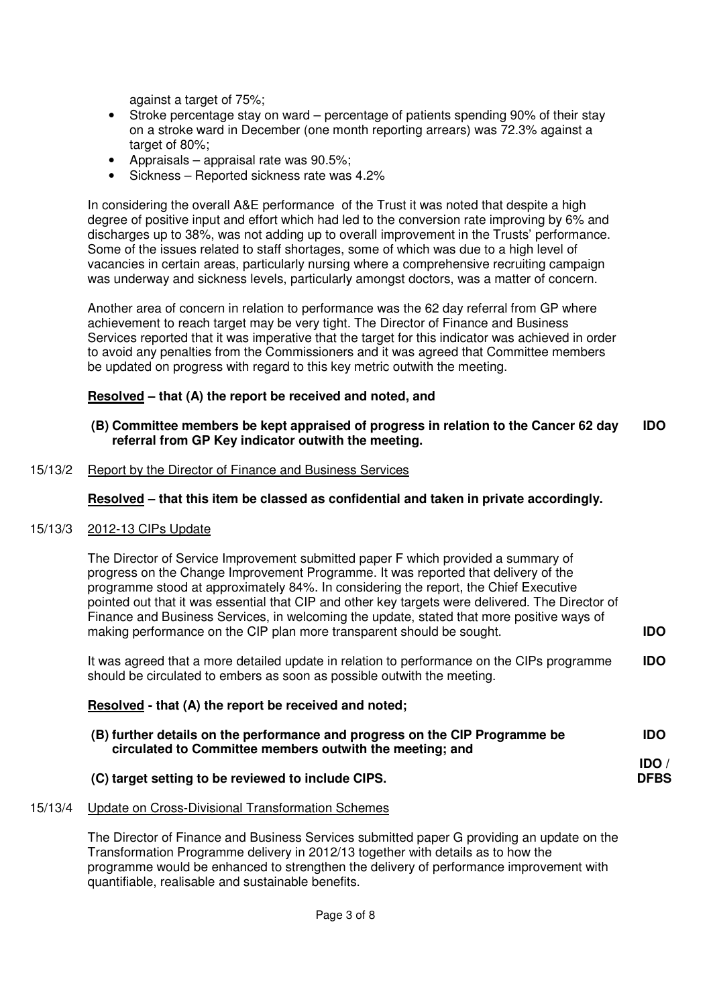against a target of 75%;

- Stroke percentage stay on ward percentage of patients spending 90% of their stay on a stroke ward in December (one month reporting arrears) was 72.3% against a target of 80%;
- Appraisals appraisal rate was 90.5%;
- Sickness Reported sickness rate was 4.2%

In considering the overall A&E performance of the Trust it was noted that despite a high degree of positive input and effort which had led to the conversion rate improving by 6% and discharges up to 38%, was not adding up to overall improvement in the Trusts' performance. Some of the issues related to staff shortages, some of which was due to a high level of vacancies in certain areas, particularly nursing where a comprehensive recruiting campaign was underway and sickness levels, particularly amongst doctors, was a matter of concern.

Another area of concern in relation to performance was the 62 day referral from GP where achievement to reach target may be very tight. The Director of Finance and Business Services reported that it was imperative that the target for this indicator was achieved in order to avoid any penalties from the Commissioners and it was agreed that Committee members be updated on progress with regard to this key metric outwith the meeting.

## **Resolved – that (A) the report be received and noted, and**

#### **(B) Committee members be kept appraised of progress in relation to the Cancer 62 day referral from GP Key indicator outwith the meeting. IDO**

#### 15/13/2 Report by the Director of Finance and Business Services

#### **Resolved – that this item be classed as confidential and taken in private accordingly.**

#### 15/13/3 2012-13 CIPs Update

The Director of Service Improvement submitted paper F which provided a summary of progress on the Change Improvement Programme. It was reported that delivery of the programme stood at approximately 84%. In considering the report, the Chief Executive pointed out that it was essential that CIP and other key targets were delivered. The Director of Finance and Business Services, in welcoming the update, stated that more positive ways of making performance on the CIP plan more transparent should be sought. **IDO** 

It was agreed that a more detailed update in relation to performance on the CIPs programme should be circulated to embers as soon as possible outwith the meeting. **IDO** 

#### **Resolved - that (A) the report be received and noted;**

| (B) further details on the performance and progress on the CIP Programme be | <b>IDO</b>  |
|-----------------------------------------------------------------------------|-------------|
| circulated to Committee members outwith the meeting; and                    |             |
|                                                                             | <b>IDO</b>  |
| (C) target setting to be reviewed to include CIPS.                          | <b>DFBS</b> |

#### 15/13/4 Update on Cross-Divisional Transformation Schemes

The Director of Finance and Business Services submitted paper G providing an update on the Transformation Programme delivery in 2012/13 together with details as to how the programme would be enhanced to strengthen the delivery of performance improvement with quantifiable, realisable and sustainable benefits.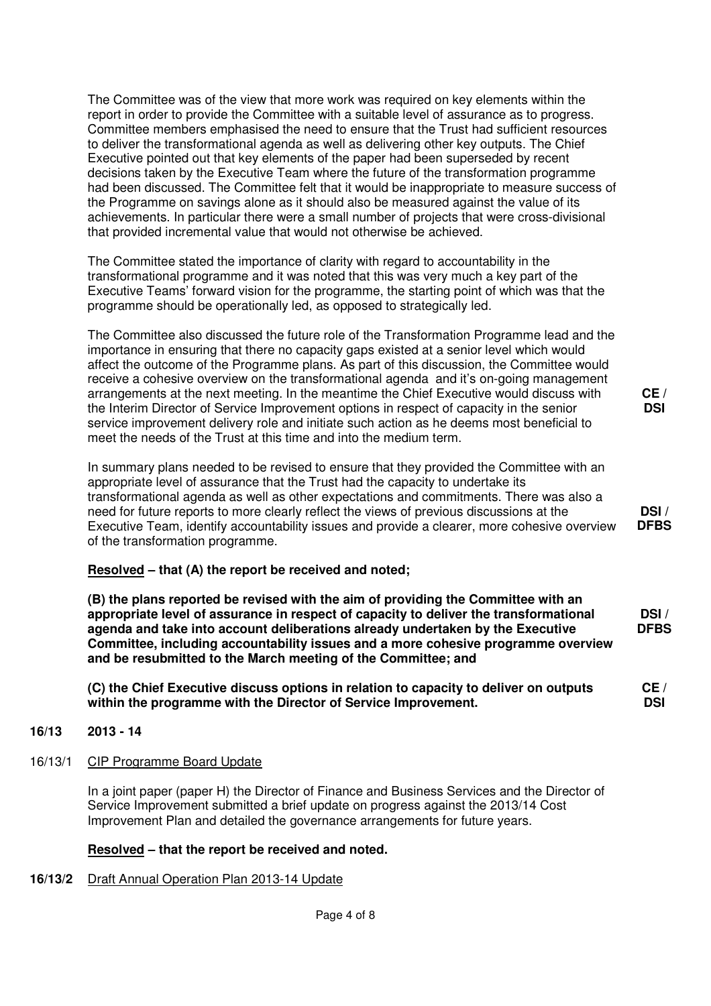The Committee was of the view that more work was required on key elements within the report in order to provide the Committee with a suitable level of assurance as to progress. Committee members emphasised the need to ensure that the Trust had sufficient resources to deliver the transformational agenda as well as delivering other key outputs. The Chief Executive pointed out that key elements of the paper had been superseded by recent decisions taken by the Executive Team where the future of the transformation programme had been discussed. The Committee felt that it would be inappropriate to measure success of the Programme on savings alone as it should also be measured against the value of its achievements. In particular there were a small number of projects that were cross-divisional that provided incremental value that would not otherwise be achieved.

The Committee stated the importance of clarity with regard to accountability in the transformational programme and it was noted that this was very much a key part of the Executive Teams' forward vision for the programme, the starting point of which was that the programme should be operationally led, as opposed to strategically led.

The Committee also discussed the future role of the Transformation Programme lead and the importance in ensuring that there no capacity gaps existed at a senior level which would affect the outcome of the Programme plans. As part of this discussion, the Committee would receive a cohesive overview on the transformational agenda and it's on-going management arrangements at the next meeting. In the meantime the Chief Executive would discuss with the Interim Director of Service Improvement options in respect of capacity in the senior service improvement delivery role and initiate such action as he deems most beneficial to meet the needs of the Trust at this time and into the medium term.

In summary plans needed to be revised to ensure that they provided the Committee with an appropriate level of assurance that the Trust had the capacity to undertake its transformational agenda as well as other expectations and commitments. There was also a need for future reports to more clearly reflect the views of previous discussions at the Executive Team, identify accountability issues and provide a clearer, more cohesive overview of the transformation programme.

# **Resolved – that (A) the report be received and noted;**

**(B) the plans reported be revised with the aim of providing the Committee with an appropriate level of assurance in respect of capacity to deliver the transformational agenda and take into account deliberations already undertaken by the Executive Committee, including accountability issues and a more cohesive programme overview and be resubmitted to the March meeting of the Committee; and** 

**(C) the Chief Executive discuss options in relation to capacity to deliver on outputs within the programme with the Director of Service Improvement.** 

#### **16/13 2013 - 14**

16/13/1 CIP Programme Board Update

In a joint paper (paper H) the Director of Finance and Business Services and the Director of Service Improvement submitted a brief update on progress against the 2013/14 Cost Improvement Plan and detailed the governance arrangements for future years.

# **Resolved – that the report be received and noted.**

**16/13/2** Draft Annual Operation Plan 2013-14 Update

**CE / DSI** 

**DSI /** 

**DFBS** 

**CE / DSI** 

**DSI / DFBS**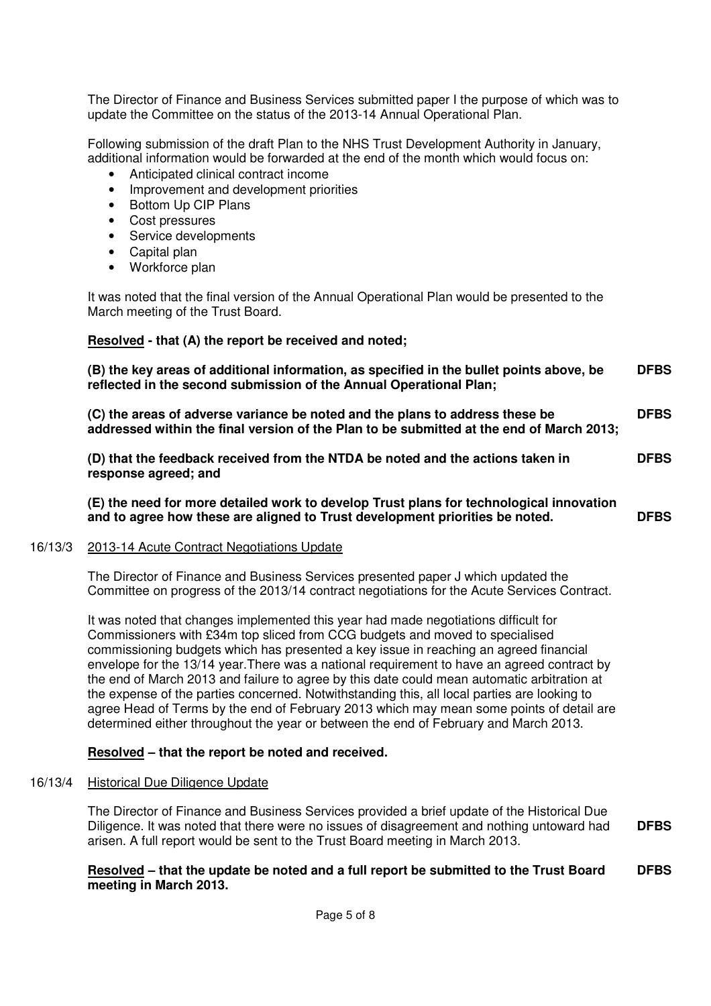The Director of Finance and Business Services submitted paper I the purpose of which was to update the Committee on the status of the 2013-14 Annual Operational Plan.

Following submission of the draft Plan to the NHS Trust Development Authority in January, additional information would be forwarded at the end of the month which would focus on:

- Anticipated clinical contract income
- Improvement and development priorities
- Bottom Up CIP Plans
- Cost pressures
- Service developments
- Capital plan
- Workforce plan

It was noted that the final version of the Annual Operational Plan would be presented to the March meeting of the Trust Board.

 **Resolved - that (A) the report be received and noted;** 

**(B) the key areas of additional information, as specified in the bullet points above, be reflected in the second submission of the Annual Operational Plan; DFBS** 

**(C) the areas of adverse variance be noted and the plans to address these be addressed within the final version of the Plan to be submitted at the end of March 2013; DFBS** 

**(D) that the feedback received from the NTDA be noted and the actions taken in response agreed; and DFBS** 

**(E) the need for more detailed work to develop Trust plans for technological innovation and to agree how these are aligned to Trust development priorities be noted. DFBS** 

#### 16/13/3 2013-14 Acute Contract Negotiations Update

The Director of Finance and Business Services presented paper J which updated the Committee on progress of the 2013/14 contract negotiations for the Acute Services Contract.

It was noted that changes implemented this year had made negotiations difficult for Commissioners with £34m top sliced from CCG budgets and moved to specialised commissioning budgets which has presented a key issue in reaching an agreed financial envelope for the 13/14 year.There was a national requirement to have an agreed contract by the end of March 2013 and failure to agree by this date could mean automatic arbitration at the expense of the parties concerned. Notwithstanding this, all local parties are looking to agree Head of Terms by the end of February 2013 which may mean some points of detail are determined either throughout the year or between the end of February and March 2013.

#### **Resolved – that the report be noted and received.**

#### 16/13/4 Historical Due Diligence Update

The Director of Finance and Business Services provided a brief update of the Historical Due Diligence. It was noted that there were no issues of disagreement and nothing untoward had arisen. A full report would be sent to the Trust Board meeting in March 2013. **DFBS** 

#### **Resolved – that the update be noted and a full report be submitted to the Trust Board meeting in March 2013. DFBS**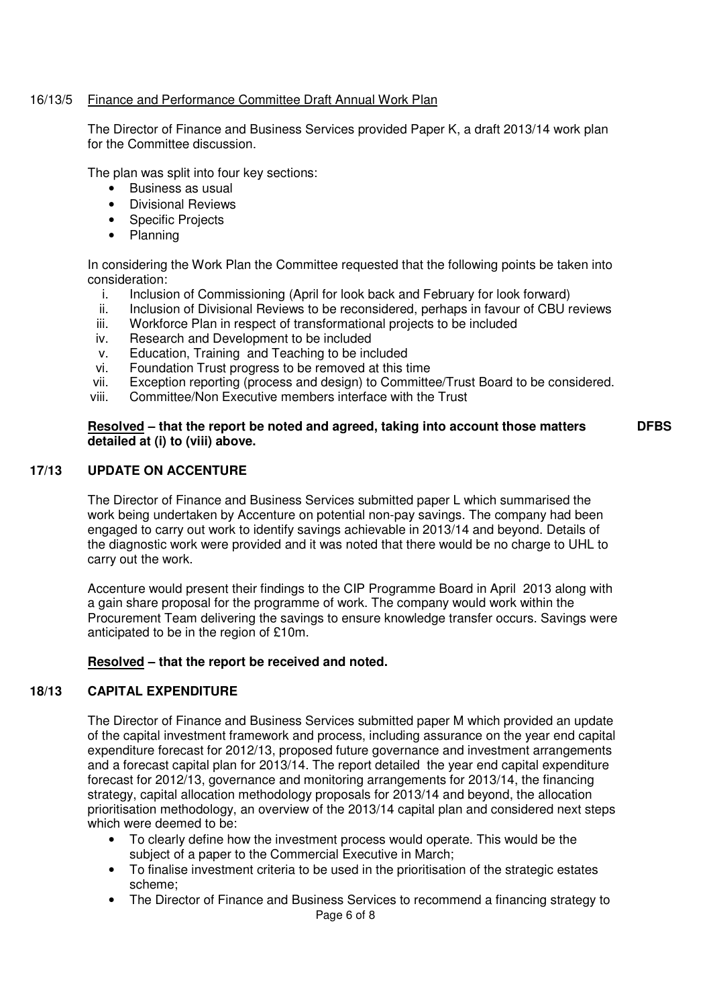#### 16/13/5 Finance and Performance Committee Draft Annual Work Plan

 The Director of Finance and Business Services provided Paper K, a draft 2013/14 work plan for the Committee discussion.

The plan was split into four key sections:

- Business as usual
- Divisional Reviews
- Specific Projects
- Planning

 In considering the Work Plan the Committee requested that the following points be taken into consideration:

- i. Inclusion of Commissioning (April for look back and February for look forward)
- ii. Inclusion of Divisional Reviews to be reconsidered, perhaps in favour of CBU reviews<br>iii. Workforce Plan in respect of transformational projects to be included
- Workforce Plan in respect of transformational projects to be included
- iv. Research and Development to be included
- v. Education, Training and Teaching to be included
- vi. Foundation Trust progress to be removed at this time
- vii. Exception reporting (process and design) to Committee/Trust Board to be considered.
- viii. Committee/Non Executive members interface with the Trust

#### **Resolved – that the report be noted and agreed, taking into account those matters detailed at (i) to (viii) above. DFBS**

#### **17/13 UPDATE ON ACCENTURE**

The Director of Finance and Business Services submitted paper L which summarised the work being undertaken by Accenture on potential non-pay savings. The company had been engaged to carry out work to identify savings achievable in 2013/14 and beyond. Details of the diagnostic work were provided and it was noted that there would be no charge to UHL to carry out the work.

Accenture would present their findings to the CIP Programme Board in April 2013 along with a gain share proposal for the programme of work. The company would work within the Procurement Team delivering the savings to ensure knowledge transfer occurs. Savings were anticipated to be in the region of £10m.

#### **Resolved – that the report be received and noted.**

#### **18/13 CAPITAL EXPENDITURE**

 The Director of Finance and Business Services submitted paper M which provided an update of the capital investment framework and process, including assurance on the year end capital expenditure forecast for 2012/13, proposed future governance and investment arrangements and a forecast capital plan for 2013/14. The report detailed the year end capital expenditure forecast for 2012/13, governance and monitoring arrangements for 2013/14, the financing strategy, capital allocation methodology proposals for 2013/14 and beyond, the allocation prioritisation methodology, an overview of the 2013/14 capital plan and considered next steps which were deemed to be:

- To clearly define how the investment process would operate. This would be the subject of a paper to the Commercial Executive in March;
- To finalise investment criteria to be used in the prioritisation of the strategic estates scheme;
- Page 6 of 8 • The Director of Finance and Business Services to recommend a financing strategy to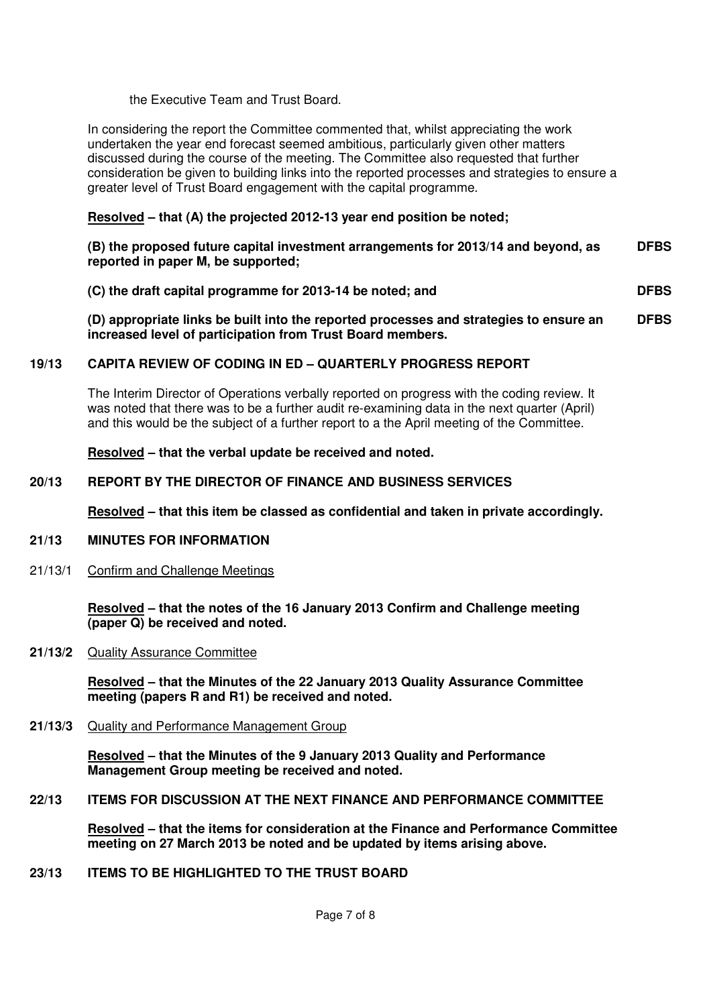the Executive Team and Trust Board.

 In considering the report the Committee commented that, whilst appreciating the work undertaken the year end forecast seemed ambitious, particularly given other matters discussed during the course of the meeting. The Committee also requested that further consideration be given to building links into the reported processes and strategies to ensure a greater level of Trust Board engagement with the capital programme.

#### **Resolved – that (A) the projected 2012-13 year end position be noted;**

| (B) the proposed future capital investment arrangements for 2013/14 and beyond, as | <b>DFBS</b> |
|------------------------------------------------------------------------------------|-------------|
| reported in paper M, be supported;                                                 |             |

**(C) the draft capital programme for 2013-14 be noted; and DFBS** 

**(D) appropriate links be built into the reported processes and strategies to ensure an increased level of participation from Trust Board members. DFBS**

## **19/13 CAPITA REVIEW OF CODING IN ED – QUARTERLY PROGRESS REPORT**

The Interim Director of Operations verbally reported on progress with the coding review. It was noted that there was to be a further audit re-examining data in the next quarter (April) and this would be the subject of a further report to a the April meeting of the Committee.

#### **Resolved – that the verbal update be received and noted.**

#### **20/13 REPORT BY THE DIRECTOR OF FINANCE AND BUSINESS SERVICES**

 **Resolved – that this item be classed as confidential and taken in private accordingly.**

#### **21/13 MINUTES FOR INFORMATION**

21/13/1 Confirm and Challenge Meetings

**Resolved – that the notes of the 16 January 2013 Confirm and Challenge meeting (paper Q) be received and noted.** 

**21/13/2** Quality Assurance Committee

**Resolved – that the Minutes of the 22 January 2013 Quality Assurance Committee meeting (papers R and R1) be received and noted.** 

#### **21/13/3** Quality and Performance Management Group

 **Resolved – that the Minutes of the 9 January 2013 Quality and Performance Management Group meeting be received and noted.** 

**22/13 ITEMS FOR DISCUSSION AT THE NEXT FINANCE AND PERFORMANCE COMMITTEE** 

**Resolved – that the items for consideration at the Finance and Performance Committee meeting on 27 March 2013 be noted and be updated by items arising above.** 

**23/13 ITEMS TO BE HIGHLIGHTED TO THE TRUST BOARD**